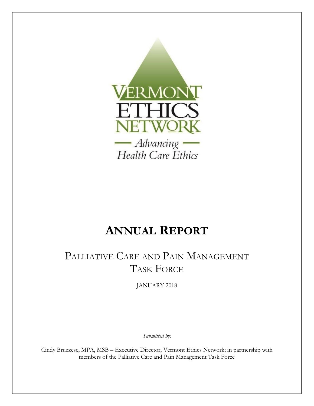

# **ANNUAL REPORT**

# PALLIATIVE CARE AND PAIN MANAGEMENT TASK FORCE

JANUARY 2018

*Submitted by:* 

Cindy Bruzzese, MPA, MSB – Executive Director, Vermont Ethics Network; in partnership with members of the Palliative Care and Pain Management Task Force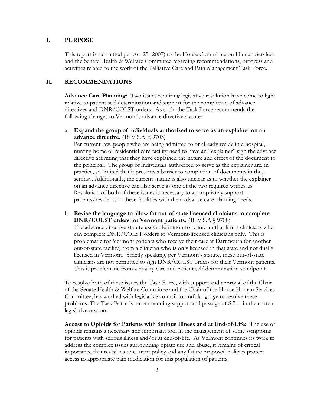#### **I. PURPOSE**

This report is submitted per Act 25 (2009) to the House Committee on Human Services and the Senate Health & Welfare Committee regarding recommendations, progress and activities related to the work of the Palliative Care and Pain Management Task Force.

# **II. RECOMMENDATIONS**

**Advance Care Planning:** Two issues requiring legislative resolution have come to light relative to patient self-determination and support for the completion of advance directives and DNR/COLST orders. As such, the Task Force recommends the following changes to Vermont's advance directive statute:

a. **Expand the group of individuals authorized to serve as an explainer on an advance directive.** (18 V.S.A. § 9703)

Per current law, people who are being admitted to or already reside in a hospital, nursing home or residential care facility need to have an "explainer" sign the advance directive affirming that they have explained the nature and effect of the document to the principal. The group of individuals authorized to serve as the explainer are, in practice, so limited that it presents a barrier to completion of documents in these settings. Additionally, the current statute is also unclear as to whether the explainer on an advance directive can also serve as one of the two required witnesses. Resolution of both of these issues is necessary to appropriately support patients/residents in these facilities with their advance care planning needs.

b. **Revise the language to allow for out-of-state licensed clinicians to complete DNR/COLST orders for Vermont patients.** (18 V.S.A § 9708) The advance directive statute uses a definition for clinician that limits clinicians who can complete DNR/COLST orders to Vermont-licensed clinicians only. This is problematic for Vermont patients who receive their care at Dartmouth (or another out-of-state facility) from a clinician who is only licensed in that state and not dually licensed in Vermont. Strictly speaking, per Vermont's statute, these out-of-state clinicians are not permitted to sign DNR/COLST orders for their Vermont patients. This is problematic from a quality care and patient self-determination standpoint.

To resolve both of these issues the Task Force, with support and approval of the Chair of the Senate Health & Welfare Committee and the Chair of the House Human Services Committee, has worked with legislative council to draft language to resolve these problems. The Task Force is recommending support and passage of S.211 in the current legislative session.

**Access to Opioids for Patients with Serious Illness and at End-of-Life:** The use of opioids remains a necessary and important tool in the management of some symptoms for patients with serious illness and/or at end-of-life. As Vermont continues its work to address the complex issues surrounding opiate use and abuse, it remains of critical importance that revisions to current policy and any future proposed policies protect access to appropriate pain medication for this population of patients.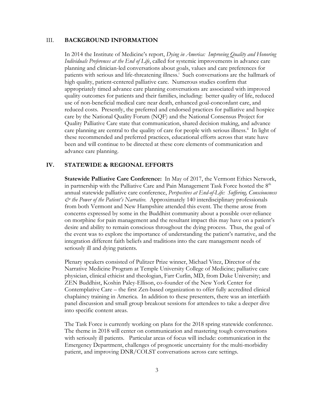#### III. **BACKGROUND INFORMATION**

In 2014 the Institute of Medicine's report, *Dying in America: Improving Quality and Honoring Individuals Preferences at the End of Life*, called for systemic improvements in advance care planning and clinician-led conversations about goals, values and care preferences for patients with serious and life-threatening illness.<sup>i</sup> Such conversations are the hallmark of high quality, patient-centered palliative care. Numerous studies confirm that appropriately timed advance care planning conversations are associated with improved quality outcomes for patients and their families, including: better quality of life, reduced use of non-beneficial medical care near death, enhanced goal-concordant care, and reduced costs. Presently, the preferred and endorsed practices for palliative and hospice care by the National Quality Forum (NQF) and the National Consensus Project for Quality Palliative Care state that communication, shared decision making, and advance care planning are central to the quality of care for people with serious illness.<sup>ii</sup> In light of these recommended and preferred practices, educational efforts across that state have been and will continue to be directed at these core elements of communication and advance care planning.

# **IV. STATEWIDE & REGIONAL EFFORTS**

**Statewide Palliative Care Conference:** In May of 2017, the Vermont Ethics Network, in partnership with the Palliative Care and Pain Management Task Force hosted the  $8<sup>th</sup>$ annual statewide palliative care conference, *Perspectives at End-of-Life: Suffering, Consciousness & the Power of the Patient's Narrative.* Approximately 140 interdisciplinary professionals from both Vermont and New Hampshire attended this event. The theme arose from concerns expressed by some in the Buddhist community about a possible over-reliance on morphine for pain management and the resultant impact this may have on a patient's desire and ability to remain conscious throughout the dying process. Thus, the goal of the event was to explore the importance of understanding the patient's narrative, and the integration different faith beliefs and traditions into the care management needs of seriously ill and dying patients.

Plenary speakers consisted of Pulitzer Prize winner, Michael Vitez, Director of the Narrative Medicine Program at Temple University College of Medicine; palliative care physician, clinical ethicist and theologian, Farr Curlin, MD, from Duke University; and ZEN Buddhist, Koshin Paley-Ellison, co-founder of the New York Center for Contemplative Care – the first Zen-based organization to offer fully accredited clinical chaplaincy training in America. In addition to these presenters, there was an interfaith panel discussion and small group breakout sessions for attendees to take a deeper dive into specific content areas.

The Task Force is currently working on plans for the 2018 spring statewide conference. The theme in 2018 will center on communication and mastering tough conversations with seriously ill patients. Particular areas of focus will include: communication in the Emergency Department, challenges of prognostic uncertainty for the multi-morbidity patient, and improving DNR/COLST conversations across care settings.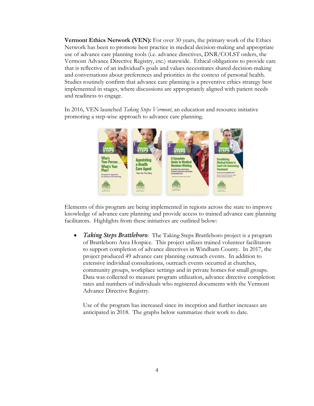**Vermont Ethics Network (VEN):** For over 30 years, the primary work of the Ethics Network has been to promote best practice in medical decision-making and appropriate use of advance care planning tools (i.e. advance directives, DNR/COLST orders, the Vermont Advance Directive Registry, etc.) statewide. Ethical obligations to provide care that is reflective of an individual's goals and values necessitates shared decision-making and conversations about preferences and priorities in the context of personal health. Studies routinely confirm that advance care planning is a preventive ethics strategy best implemented in stages, where discussions are appropriately aligned with patient needs and readiness to engage.

In 2016, VEN launched *Taking Steps Vermont*, an education and resource initiative promoting a step-wise approach to advance care planning.



Elements of this program are being implemented in regions across the state to improve knowledge of advance care planning and provide access to trained advance care planning facilitators. Highlights from these initiatives are outlined below:

 *Taking Steps Brattleboro*: The Taking Steps Brattleboro project is a program of Brattleboro Area Hospice. This project utilizes trained volunteer facilitators to support completion of advance directives in Windham County. In 2017, the project produced 49 advance care planning outreach events. In addition to extensive individual consultations, outreach events occurred at churches, community groups, workplace settings and in private homes for small groups. Data was collected to measure program utilization, advance directive completion rates and numbers of individuals who registered documents with the Vermont Advance Directive Registry.

Use of the program has increased since its inception and further increases are anticipated in 2018. The graphs below summarize their work to date.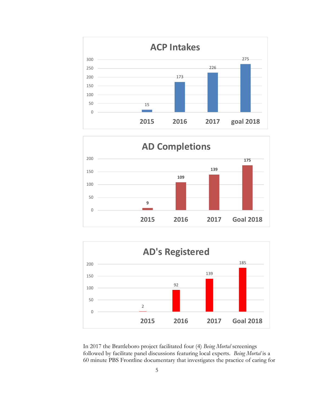





In 2017 the Brattleboro project facilitated four (4) *Being Mortal* screenings followed by facilitate panel discussions featuring local experts. *Being Mortal* is a 60 minute PBS Frontline documentary that investigates the practice of caring for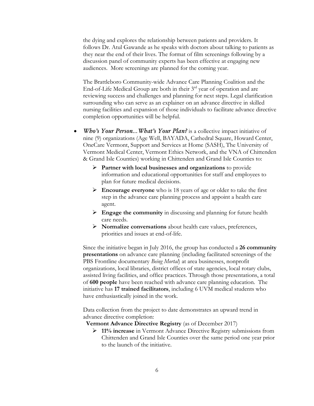the dying and explores the relationship between patients and providers. It follows Dr. Atul Gawande as he speaks with doctors about talking to patients as they near the end of their lives. The format of film screenings following by a discussion panel of community experts has been effective at engaging new audiences. More screenings are planned for the coming year.

The Brattleboro Community-wide Advance Care Planning Coalition and the End-of-Life Medical Group are both in their  $3<sup>rd</sup>$  year of operation and are reviewing success and challenges and planning for next steps. Legal clarification surrounding who can serve as an explainer on an advance directive in skilled nursing facilities and expansion of those individuals to facilitate advance directive completion opportunities will be helpful.

- *Who's Your Person... What's Your Plan?* is a collective impact initiative of nine (9) organizations (Age Well, BAYADA, Cathedral Square, Howard Center, OneCare Vermont, Support and Services at Home (SASH), The University of Vermont Medical Center, Vermont Ethics Network, and the VNA of Chittenden & Grand Isle Counties) working in Chittenden and Grand Isle Counties to:
	- **Partner with local businesses and organizations** to provide information and educational opportunities for staff and employees to plan for future medical decisions.
	- **Encourage everyone** who is 18 years of age or older to take the first step in the advance care planning process and appoint a health care agent.
	- **Engage the community** in discussing and planning for future health care needs.
	- **Normalize conversations** about health care values, preferences, priorities and issues at end-of-life.

Since the initiative began in July 2016, the group has conducted a **26 community presentations** on advance care planning (including facilitated screenings of the PBS Frontline documentary *Being Mortal*) at area businesses, nonprofit organizations, local libraries, district offices of state agencies, local rotary clubs, assisted living facilities, and office practices. Through those presentations, a total of **600 people** have been reached with advance care planning education. The initiative has **17 trained facilitators**, including 6 UVM medical students who have enthusiastically joined in the work.

Data collection from the project to date demonstrates an upward trend in advance directive completion:

 **Vermont Advance Directive Registry** (as of December 2017)

 **11% increase** in Vermont Advance Directive Registry submissions from Chittenden and Grand Isle Counties over the same period one year prior to the launch of the initiative.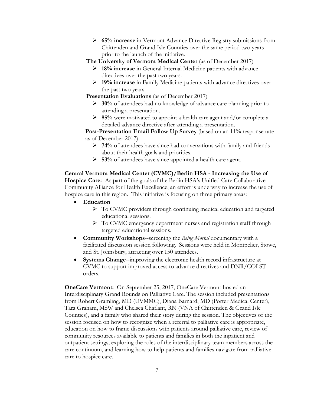**65% increase** in Vermont Advance Directive Registry submissions from Chittenden and Grand Isle Counties over the same period two years prior to the launch of the initiative.

 **The University of Vermont Medical Center** (as of December 2017)

- **18% increase** in General Internal Medicine patients with advance directives over the past two years.
- **19% increase** in Family Medicine patients with advance directives over the past two years.

 **Presentation Evaluations** (as of December 2017)

- **30%** of attendees had no knowledge of advance care planning prior to attending a presentation.
- **85%** were motivated to appoint a health care agent and/or complete a detailed advance directive after attending a presentation.

**Post-Presentation Email Follow Up Survey** (based on an 11% response rate as of December 2017)

- **74%** of attendees have since had conversations with family and friends about their health goals and priorities.
- **53%** of attendees have since appointed a health care agent.

**Central Vermont Medical Center (CVMC)/Berlin HSA - Increasing the Use of Hospice Care:** As part of the goals of the Berlin HSA's Unified Care Collaborative Community Alliance for Health Excellence, an effort is underway to increase the use of hospice care in this region. This initiative is focusing on three primary areas:

- **Education** 
	- $\triangleright$  To CVMC providers through continuing medical education and targeted educational sessions.
	- > To CVMC emergency department nurses and registration staff through targeted educational sessions.
- **Community Workshops**--screening the *Being Mortal* documentary with a facilitated discussion session following. Sessions were held in Montpelier, Stowe, and St. Johnsbury, attracting over 150 attendees.
- **Systems Change**--improving the electronic health record infrastructure at CVMC to support improved access to advance directives and DNR/COLST orders.

**OneCare Vermont:** On September 25, 2017, OneCare Vermont hosted an Interdisciplinary Grand Rounds on Palliative Care. The session included presentations from Robert Gramling, MD (UVMMC), Diana Barnard, MD (Porter Medical Center), Tara Graham, MSW and Chelsea Chaflant, RN (VNA of Chittenden & Grand Isle Counties), and a family who shared their story during the session. The objectives of the session focused on how to recognize when a referral to palliative care is appropriate, education on how to frame discussions with patients around palliative care, review of community resources available to patients and families in both the inpatient and outpatient settings, exploring the roles of the interdisciplinary team members across the care continuum, and learning how to help patients and families navigate from palliative care to hospice care.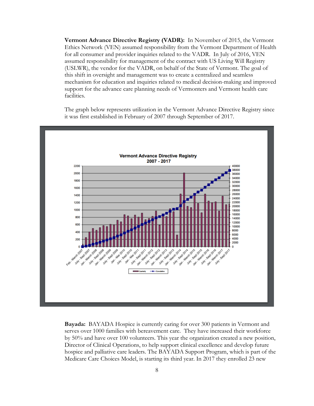**Vermont Advance Directive Registry (VADR):** In November of 2015, the Vermont Ethics Network (VEN) assumed responsibility from the Vermont Department of Health for all consumer and provider inquiries related to the VADR. In July of 2016, VEN assumed responsibility for management of the contract with US Living Will Registry (USLWR), the vendor for the VADR, on behalf of the State of Vermont. The goal of this shift in oversight and management was to create a centralized and seamless mechanism for education and inquiries related to medical decision-making and improved support for the advance care planning needs of Vermonters and Vermont health care facilities.

The graph below represents utilization in the Vermont Advance Directive Registry since it was first established in February of 2007 through September of 2017.



**Bayada:** BAYADA Hospice is currently caring for over 300 patients in Vermont and serves over 1000 families with bereavement care. They have increased their workforce by 50% and have over 100 volunteers. This year the organization created a new position, Director of Clinical Operations, to help support clinical excellence and develop future hospice and palliative care leaders. The BAYADA Support Program, which is part of the Medicare Care Choices Model, is starting its third year. In 2017 they enrolled 23 new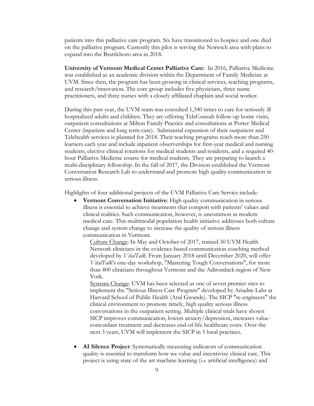patients into this palliative care program. Six have transitioned to hospice and one died on the palliative program. Currently this pilot is serving the Norwich area with plans to expand into the Brattleboro area in 2018.

**University of Vermont Medical Center Palliative Care:** In 2016, Palliative Medicine was established as an academic division within the Department of Family Medicine at UVM. Since then, the program has been growing in clinical services, teaching programs, and research/innovation. The core group includes five physicians, three nurse practitioners, and three nurses with a closely affiliated chaplain and social worker.

During this past year, the UVM team was consulted 1,340 times to care for seriously ill hospitalized adults and children. They are offering TeleConsult follow-up home visits, outpatient consultations at Milton Family Practice and consultations at Porter Medical Center (inpatient and long term care). Substantial expansion of their outpatient and Telehealth services is planned for 2018. Their teaching programs reach more than 250 learners each year and include inpatient observerships for first-year medical and nursing students, elective clinical rotations for medical students and residents, and a required 40 hour Palliative Medicine course for medical students. They are preparing to launch a multi-disciplinary fellowship. In the fall of 2017, the Division established the Vermont Conversation Research Lab to understand and promote high quality communication in serious illness.

Highlights of four additional projects of the UVM Palliative Care Service include:

 **Vermont Conversation Initiative**: High quality communication in serious illness is essential to achieve treatments that comport with patients' values and clinical realities. Such communication, however, is uncommon in modern medical care. This multimodal population health initiative addresses both culture change and system change to increase the quality of serious illness communication in Vermont.

Culture Change: In May and October of 2017, trained 30 UVM Health Network clinicians in the evidence-based communication coaching method developed by *VitalTalk*. From January 2018 until December 2020, will offer *VitalTalk*'s one-day workshop, "Mastering Tough Conversations", for more than 400 clinicians throughout Vermont and the Adirondack region of New York.

Systems Change: UVM has been selected as one of seven premier sites to implement the "Serious Illness Care Program" developed by Ariadne Labs at Harvard School of Public Health (Atul Gwande). The SICP "re-engineers" the clinical environment to promote timely, high quality serious illness conversations in the outpatient setting. Multiple clinical trials have shown SICP improves communication, lowers anxiety/depression, increases valueconcordant treatment and decreases end-of-life healthcare costs. Over the next 3 years, UVM will implement the SICP in 5 local practices.

 **AI Silence Project**: Systematically measuring indicators of communication quality is essential to transform how we value and incentivize clinical care. This project is using state of the art machine learning (*i.e.* artificial intelligence) and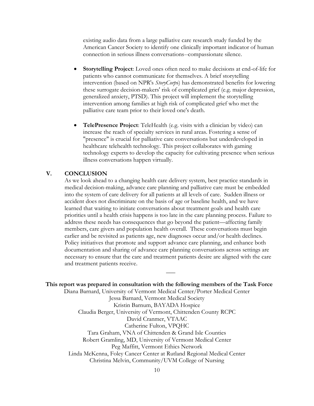existing audio data from a large palliative care research study funded by the American Cancer Society to identify one clinically important indicator of human connection in serious illness conversations--compassionate silence.

- **Storytelling Project**: Loved ones often need to make decisions at end-of-life for patients who cannot communicate for themselves. A brief storytelling intervention (based on NPR's *StoryCorp*s) has demonstrated benefits for lowering these surrogate decision-makers' risk of complicated grief (e.g. major depression, generalized anxiety, PTSD). This project will implement the storytelling intervention among families at high risk of complicated grief who met the palliative care team prior to their loved one's death.
- **TelePresence Project**: TeleHealth (e.g. visits with a clinician by video) can increase the reach of specialty services in rural areas. Fostering a sense of "presence" is crucial for palliative care conversations but underdeveloped in healthcare telehealth technology. This project collaborates with gaming technology experts to develop the capacity for cultivating presence when serious illness conversations happen virtually.

### **V. CONCLUSION**

As we look ahead to a changing health care delivery system, best practice standards in medical decision-making, advance care planning and palliative care must be embedded into the system of care delivery for all patients at all levels of care. Sudden illness or accident does not discriminate on the basis of age or baseline health, and we have learned that waiting to initiate conversations about treatment goals and health care priorities until a health crisis happens is too late in the care planning process. Failure to address these needs has consequences that go beyond the patient—affecting family members, care givers and population health overall. These conversations must begin earlier and be revisited as patients age, new diagnoses occur and/or health declines. Policy initiatives that promote and support advance care planning, and enhance both documentation and sharing of advance care planning conversations across settings are necessary to ensure that the care and treatment patients desire are aligned with the care and treatment patients receive.

**\_\_\_**

#### **This report was prepared in consultation with the following members of the Task Force**

Diana Barnard, University of Vermont Medical Center/Porter Medical Center Jessa Barnard, Vermont Medical Society Kristin Barnum, BAYADA Hospice Claudia Berger, University of Vermont, Chittenden County RCPC David Cranmer, VTAAC Catherine Fulton, VPQHC Tara Graham, VNA of Chittenden & Grand Isle Counties Robert Gramling, MD, University of Vermont Medical Center Peg Maffitt, Vermont Ethics Network Linda McKenna, Foley Cancer Center at Rutland Regional Medical Center Christina Melvin, Community/UVM College of Nursing